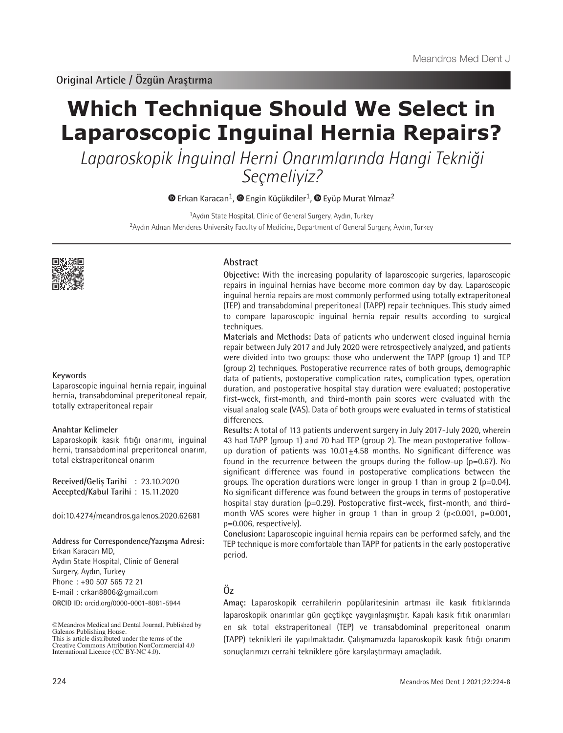# **Which Technique Should We Select in Laparoscopic Inguinal Hernia Repairs?**

Laparoskopik İnguinal Herni Onarımlarında Hangi Tekniği Seçmeliyiz?

 $\bullet$ Erkan Karacan<sup>1</sup>,  $\bullet$  Engin Küçükdiler<sup>1</sup>,  $\bullet$  Eyüp Murat Yılmaz<sup>2</sup>

<sup>1</sup>Aydın State Hospital, Clinic of General Surgery, Aydın, Turkey <sup>2</sup>Aydın Adnan Menderes University Faculty of Medicine, Department of General Surgery, Aydın, Turkey



## **Keywords**

Laparoscopic inguinal hernia repair, inguinal hernia, transabdominal preperitoneal repair, totally extraperitoneal repair

## **Anahtar Kelimeler**

Laparoskopik kasık fıtığı onarımı, inguinal herni, transabdominal preperitoneal onarım, total ekstraperitoneal onarım

**Received/Geliş Tarihi** : 23.10.2020 **Accepted/Kabul Tarihi** : 15.11.2020

doi:10.4274/meandros.galenos.2020.62681

## **Address for Correspondence/Yazışma Adresi:**

Erkan Karacan MD, Aydın State Hospital, Clinic of General Surgery, Aydın, Turkey Phone : +90 507 565 72 21 E-mail : erkan8806@gmail.com **ORCID ID:** orcid.org/0000-0001-8081-5944

©Meandros Medical and Dental Journal, Published by Galenos Publishing House. This is article distributed under the terms of the

# **Abstract**

**Objective:** With the increasing popularity of laparoscopic surgeries, laparoscopic repairs in inguinal hernias have become more common day by day. Laparoscopic inguinal hernia repairs are most commonly performed using totally extraperitoneal (TEP) and transabdominal preperitoneal (TAPP) repair techniques. This study aimed to compare laparoscopic inguinal hernia repair results according to surgical techniques.

**Materials and Methods:** Data of patients who underwent closed inguinal hernia repair between July 2017 and July 2020 were retrospectively analyzed, and patients were divided into two groups: those who underwent the TAPP (group 1) and TEP (group 2) techniques. Postoperative recurrence rates of both groups, demographic data of patients, postoperative complication rates, complication types, operation duration, and postoperative hospital stay duration were evaluated; postoperative first-week, first-month, and third-month pain scores were evaluated with the visual analog scale (VAS). Data of both groups were evaluated in terms of statistical differences.

**Results:** A total of 113 patients underwent surgery in July 2017-July 2020, wherein 43 had TAPP (group 1) and 70 had TEP (group 2). The mean postoperative followup duration of patients was  $10.01 \pm 4.58$  months. No significant difference was found in the recurrence between the groups during the follow-up (p=0.67). No significant difference was found in postoperative complications between the groups. The operation durations were longer in group 1 than in group 2 (p=0.04). No significant difference was found between the groups in terms of postoperative hospital stay duration (p=0.29). Postoperative first-week, first-month, and thirdmonth VAS scores were higher in group 1 than in group 2 ( $p < 0.001$ ,  $p = 0.001$ , p=0.006, respectively).

**Conclusion:** Laparoscopic inguinal hernia repairs can be performed safely, and the TEP technique is more comfortable than TAPP for patients in the early postoperative period.

# **Öz**

**Amaç:** Laparoskopik cerrahilerin popülaritesinin artması ile kasık fıtıklarında laparoskopik onarımlar gün geçtikçe yaygınlaşmıştır. Kapalı kasık fıtık onarımları en sık total ekstraperitoneal (TEP) ve transabdominal preperitoneal onarım (TAPP) teknikleri ile yapılmaktadır. Çalışmamızda laparoskopik kasık fıtığı onarım sonuçlarımızı cerrahi tekniklere göre karşılaştırmayı amaçladık.

Creative Commons Attribution NonCommercial 4.0 International Licence (CC BY-NC 4.0).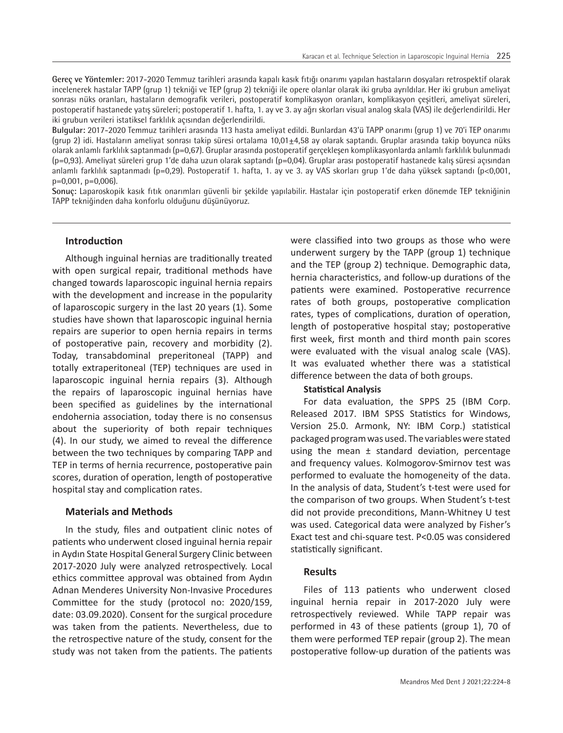**Gereç ve Yöntemler:** 2017-2020 Temmuz tarihleri arasında kapalı kasık fıtığı onarımı yapılan hastaların dosyaları retrospektif olarak incelenerek hastalar TAPP (grup 1) tekniği ve TEP (grup 2) tekniği ile opere olanlar olarak iki gruba ayrıldılar. Her iki grubun ameliyat sonrası nüks oranları, hastaların demografik verileri, postoperatif komplikasyon oranları, komplikasyon çeşitleri, ameliyat süreleri, postoperatif hastanede yatış süreleri; postoperatif 1. hafta, 1. ay ve 3. ay ağrı skorları visual analog skala (VAS) ile değerlendirildi. Her iki grubun verileri istatiksel farklılık açısından değerlendirildi.

**Bulgular:** 2017-2020 Temmuz tarihleri arasında 113 hasta ameliyat edildi. Bunlardan 43'ü TAPP onarımı (grup 1) ve 70'i TEP onarımı (grup 2) idi. Hastaların ameliyat sonrası takip süresi ortalama 10,01±4,58 ay olarak saptandı. Gruplar arasında takip boyunca nüks olarak anlamlı farklılık saptanmadı (p=0,67). Gruplar arasında postoperatif gerçekleşen komplikasyonlarda anlamlı farklılık bulunmadı (p=0,93). Ameliyat süreleri grup 1'de daha uzun olarak saptandı (p=0,04). Gruplar arası postoperatif hastanede kalış süresi açısından anlamlı farklılık saptanmadı (p=0,29). Postoperatif 1. hafta, 1. ay ve 3. ay VAS skorları grup 1'de daha yüksek saptandı (p<0,001, p=0,001, p=0,006).

**Sonuç:** Laparoskopik kasık fıtık onarımları güvenli bir şekilde yapılabilir. Hastalar için postoperatif erken dönemde TEP tekniğinin TAPP tekniğinden daha konforlu olduğunu düşünüyoruz.

# **Introduction**

Although inguinal hernias are traditionally treated with open surgical repair, traditional methods have changed towards laparoscopic inguinal hernia repairs with the development and increase in the popularity of laparoscopic surgery in the last 20 years (1). Some studies have shown that laparoscopic inguinal hernia repairs are superior to open hernia repairs in terms of postoperative pain, recovery and morbidity (2). Today, transabdominal preperitoneal (TAPP) and totally extraperitoneal (TEP) techniques are used in laparoscopic inguinal hernia repairs (3). Although the repairs of laparoscopic inguinal hernias have been specified as guidelines by the international endohernia association, today there is no consensus about the superiority of both repair techniques (4). In our study, we aimed to reveal the difference between the two techniques by comparing TAPP and TEP in terms of hernia recurrence, postoperative pain scores, duration of operation, length of postoperative hospital stay and complication rates.

#### **Materials and Methods**

In the study, files and outpatient clinic notes of patients who underwent closed inguinal hernia repair in Aydın State Hospital General Surgery Clinic between 2017-2020 July were analyzed retrospectively. Local ethics committee approval was obtained from Aydın Adnan Menderes University Non-Invasive Procedures Committee for the study (protocol no: 2020/159, date: 03.09.2020). Consent for the surgical procedure was taken from the patients. Nevertheless, due to the retrospective nature of the study, consent for the study was not taken from the patients. The patients

were classified into two groups as those who were underwent surgery by the TAPP (group 1) technique and the TEP (group 2) technique. Demographic data, hernia characteristics, and follow-up durations of the patients were examined. Postoperative recurrence rates of both groups, postoperative complication rates, types of complications, duration of operation, length of postoperative hospital stay; postoperative first week, first month and third month pain scores were evaluated with the visual analog scale (VAS). It was evaluated whether there was a statistical difference between the data of both groups.

# **Statistical Analysis**

For data evaluation, the SPPS 25 (IBM Corp. Released 2017. IBM SPSS Statistics for Windows, Version 25.0. Armonk, NY: IBM Corp.) statistical packaged program was used. The variables were stated using the mean  $\pm$  standard deviation, percentage and frequency values. Kolmogorov-Smirnov test was performed to evaluate the homogeneity of the data. In the analysis of data, Student's t-test were used for the comparison of two groups. When Student's t-test did not provide preconditions, Mann-Whitney U test was used. Categorical data were analyzed by Fisher's Exact test and chi-square test. P<0.05 was considered statistically significant.

# **Results**

Files of 113 patients who underwent closed inguinal hernia repair in 2017-2020 July were retrospectively reviewed. While TAPP repair was performed in 43 of these patients (group 1), 70 of them were performed TEP repair (group 2). The mean postoperative follow-up duration of the patients was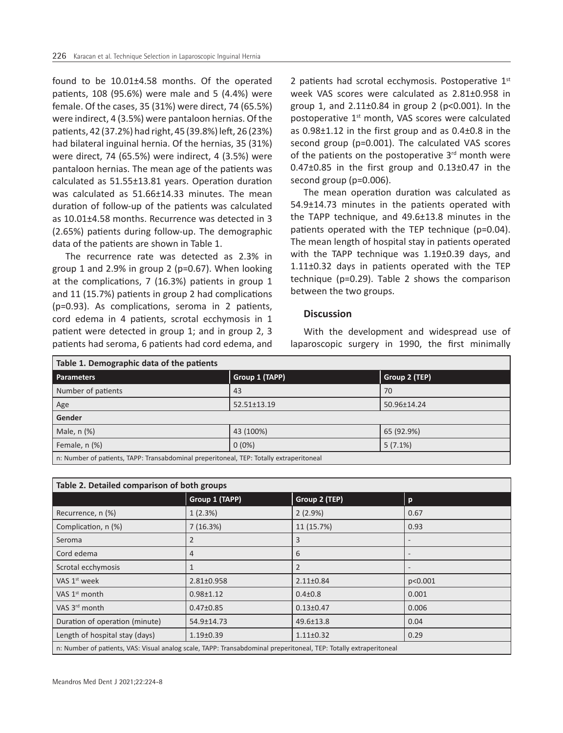found to be 10.01±4.58 months. Of the operated patients, 108 (95.6%) were male and 5 (4.4%) were female. Of the cases, 35 (31%) were direct, 74 (65.5%) were indirect, 4 (3.5%) were pantaloon hernias. Of the patients, 42 (37.2%) had right, 45 (39.8%) left, 26 (23%) had bilateral inguinal hernia. Of the hernias, 35 (31%) were direct, 74 (65.5%) were indirect, 4 (3.5%) were pantaloon hernias. The mean age of the patients was calculated as 51.55±13.81 years. Operation duration was calculated as 51.66±14.33 minutes. The mean duration of follow-up of the patients was calculated as 10.01±4.58 months. Recurrence was detected in 3 (2.65%) patients during follow-up. The demographic data of the patients are shown in Table 1.

The recurrence rate was detected as 2.3% in group 1 and 2.9% in group 2 (p=0.67). When looking at the complications, 7 (16.3%) patients in group 1 and 11 (15.7%) patients in group 2 had complications (p=0.93). As complications, seroma in 2 patients, cord edema in 4 patients, scrotal ecchymosis in 1 patient were detected in group 1; and in group 2, 3 patients had seroma, 6 patients had cord edema, and

2 patients had scrotal ecchymosis. Postoperative  $1<sup>st</sup>$ week VAS scores were calculated as 2.81±0.958 in group 1, and  $2.11 \pm 0.84$  in group 2 (p<0.001). In the postoperative 1<sup>st</sup> month, VAS scores were calculated as 0.98±1.12 in the first group and as 0.4±0.8 in the second group (p=0.001). The calculated VAS scores of the patients on the postoperative  $3<sup>rd</sup>$  month were  $0.47\pm0.85$  in the first group and  $0.13\pm0.47$  in the second group (p=0.006).

The mean operation duration was calculated as 54.9±14.73 minutes in the patients operated with the TAPP technique, and 49.6±13.8 minutes in the patients operated with the TEP technique (p=0.04). The mean length of hospital stay in patients operated with the TAPP technique was 1.19±0.39 days, and 1.11±0.32 days in patients operated with the TEP technique (p=0.29). Table 2 shows the comparison between the two groups.

# **Discussion**

With the development and widespread use of laparoscopic surgery in 1990, the first minimally

| Table 1. Demographic data of the patients                                               |                   |               |  |  |
|-----------------------------------------------------------------------------------------|-------------------|---------------|--|--|
| <b>Parameters</b>                                                                       | Group 1 (TAPP)    | Group 2 (TEP) |  |  |
| Number of patients                                                                      | 43                | 70            |  |  |
| Age                                                                                     | $52.51 \pm 13.19$ | 50.96±14.24   |  |  |
| Gender                                                                                  |                   |               |  |  |
| Male, n (%)                                                                             | 43 (100%)         | 65 (92.9%)    |  |  |
| Female, n (%)                                                                           | $0(0\%)$          | $5(7.1\%)$    |  |  |
| n: Number of patients, TAPP: Transabdominal preperitoneal, TEP: Totally extraperitoneal |                   |               |  |  |

| Table 2. Detailed comparison of both groups                                                                       |                  |                 |                              |  |  |
|-------------------------------------------------------------------------------------------------------------------|------------------|-----------------|------------------------------|--|--|
|                                                                                                                   | Group 1 (TAPP)   | Group 2 (TEP)   | $\mathbf{p}$                 |  |  |
| Recurrence, n (%)                                                                                                 | 1(2.3%)          | 2(2.9%)         | 0.67                         |  |  |
| Complication, n (%)                                                                                               | 7(16.3%)         | 11 (15.7%)      | 0.93                         |  |  |
| Seroma                                                                                                            | $\overline{2}$   | 3               | $\qquad \qquad \blacksquare$ |  |  |
| Cord edema                                                                                                        | $\overline{4}$   | 6               | $\qquad \qquad$              |  |  |
| Scrotal ecchymosis                                                                                                | 1                | 2               | $\overline{\phantom{a}}$     |  |  |
| VAS 1 <sup>st</sup> week                                                                                          | $2.81 \pm 0.958$ | $2.11 \pm 0.84$ | p<0.001                      |  |  |
| VAS $1st$ month                                                                                                   | $0.98 + 1.12$    | $0.4 \pm 0.8$   | 0.001                        |  |  |
| VAS 3 <sup>rd</sup> month                                                                                         | $0.47 \pm 0.85$  | $0.13 \pm 0.47$ | 0.006                        |  |  |
| Duration of operation (minute)                                                                                    | 54.9±14.73       | 49.6±13.8       | 0.04                         |  |  |
| Length of hospital stay (days)                                                                                    | $1.19 \pm 0.39$  | $1.11 \pm 0.32$ | 0.29                         |  |  |
| n: Number of patients, VAS: Visual analog scale, TAPP: Transabdominal preperitoneal, TEP: Totally extraperitoneal |                  |                 |                              |  |  |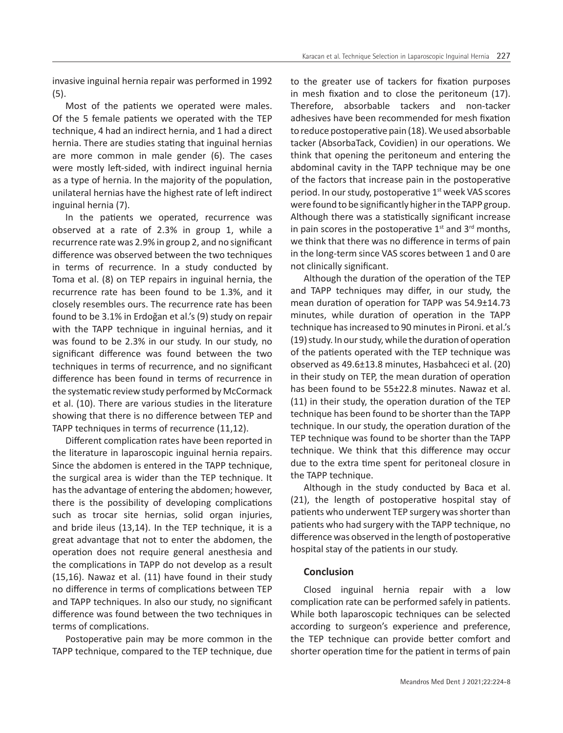invasive inguinal hernia repair was performed in 1992 (5).

Most of the patients we operated were males. Of the 5 female patients we operated with the TEP technique, 4 had an indirect hernia, and 1 had a direct hernia. There are studies stating that inguinal hernias are more common in male gender (6). The cases were mostly left-sided, with indirect inguinal hernia as a type of hernia. In the majority of the population, unilateral hernias have the highest rate of left indirect inguinal hernia (7).

In the patients we operated, recurrence was observed at a rate of 2.3% in group 1, while a recurrence rate was 2.9% in group 2, and no significant difference was observed between the two techniques in terms of recurrence. In a study conducted by Toma et al. (8) on TEP repairs in inguinal hernia, the recurrence rate has been found to be 1.3%, and it closely resembles ours. The recurrence rate has been found to be 3.1% in Erdoğan et al.'s (9) study on repair with the TAPP technique in inguinal hernias, and it was found to be 2.3% in our study. In our study, no significant difference was found between the two techniques in terms of recurrence, and no significant difference has been found in terms of recurrence in the systematic review study performed by McCormack et al. (10). There are various studies in the literature showing that there is no difference between TEP and TAPP techniques in terms of recurrence (11,12).

Different complication rates have been reported in the literature in laparoscopic inguinal hernia repairs. Since the abdomen is entered in the TAPP technique, the surgical area is wider than the TEP technique. It has the advantage of entering the abdomen; however, there is the possibility of developing complications such as trocar site hernias, solid organ injuries, and bride ileus (13,14). In the TEP technique, it is a great advantage that not to enter the abdomen, the operation does not require general anesthesia and the complications in TAPP do not develop as a result (15,16). Nawaz et al. (11) have found in their study no difference in terms of complications between TEP and TAPP techniques. In also our study, no significant difference was found between the two techniques in terms of complications.

Postoperative pain may be more common in the TAPP technique, compared to the TEP technique, due

to the greater use of tackers for fixation purposes in mesh fixation and to close the peritoneum (17). Therefore, absorbable tackers and non-tacker adhesives have been recommended for mesh fixation to reduce postoperative pain (18). We used absorbable tacker (AbsorbaTack, Covidien) in our operations. We think that opening the peritoneum and entering the abdominal cavity in the TAPP technique may be one of the factors that increase pain in the postoperative period. In our study, postoperative 1<sup>st</sup> week VAS scores were found to be significantly higher in the TAPP group. Although there was a statistically significant increase in pain scores in the postoperative  $1<sup>st</sup>$  and  $3<sup>rd</sup>$  months, we think that there was no difference in terms of pain in the long-term since VAS scores between 1 and 0 are not clinically significant.

Although the duration of the operation of the TEP and TAPP techniques may differ, in our study, the mean duration of operation for TAPP was 54.9±14.73 minutes, while duration of operation in the TAPP technique has increased to 90 minutes in Pironi. et al.'s (19) study. In our study, while the duration of operation of the patients operated with the TEP technique was observed as 49.6±13.8 minutes, Hasbahceci et al. (20) in their study on TEP, the mean duration of operation has been found to be 55±22.8 minutes. Nawaz et al. (11) in their study, the operation duration of the TEP technique has been found to be shorter than the TAPP technique. In our study, the operation duration of the TEP technique was found to be shorter than the TAPP technique. We think that this difference may occur due to the extra time spent for peritoneal closure in the TAPP technique.

Although in the study conducted by Baca et al. (21), the length of postoperative hospital stay of patients who underwent TEP surgery was shorter than patients who had surgery with the TAPP technique, no difference was observed in the length of postoperative hospital stay of the patients in our study.

# **Conclusion**

Closed inguinal hernia repair with a low complication rate can be performed safely in patients. While both laparoscopic techniques can be selected according to surgeon's experience and preference, the TEP technique can provide better comfort and shorter operation time for the patient in terms of pain